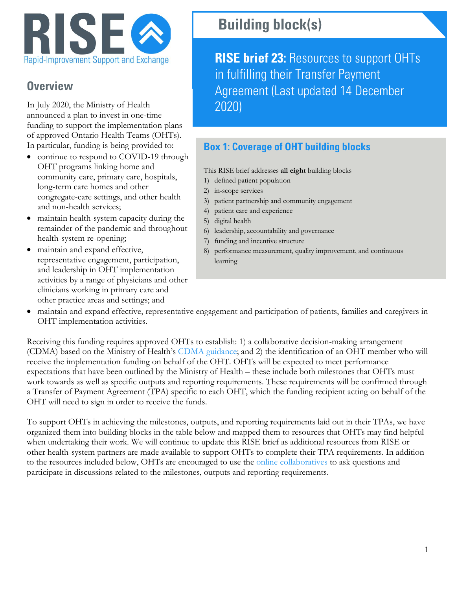

## **Overview**

In July 2020, the Ministry of Health announced a plan to invest in one-time funding to support the implementation plans of approved Ontario Health Teams (OHTs). In particular, funding is being provided to:

- continue to respond to COVID-19 through OHT programs linking home and community care, primary care, hospitals, long-term care homes and other congregate-care settings, and other health and non-health services;
- maintain health-system capacity during the remainder of the pandemic and throughout health-system re-opening;
- maintain and expand effective, representative engagement, participation, and leadership in OHT implementation activities by a range of physicians and other clinicians working in primary care and other practice areas and settings; and

## **Building block(s)**

**RISE brief 23:** Resources to support OHTs in fulfilling their Transfer Payment Agreement (Last updated 14 December 2020)

## **Box 1: Coverage of OHT building blocks**

This RISE brief addresses **all eight** building blocks

- 1) defined patient population
- 2) in-scope services
- 3) patient partnership and community engagement
- 4) patient care and experience
- 5) digital health
- 6) leadership, accountability and governance
- 7) funding and incentive structure
- 8) performance measurement, quality improvement, and continuous learning
- maintain and expand effective, representative engagement and participation of patients, families and caregivers in OHT implementation activities.

Receiving this funding requires approved OHTs to establish: 1) a collaborative decision-making arrangement (CDMA) based on the Ministry of Health's [CDMA guidance;](http://health.gov.on.ca/en/pro/programs/connectedcare/oht/docs/OHT_CDMA_Guidance_Doc.pdf) and 2) the identification of an OHT member who will receive the implementation funding on behalf of the OHT. OHTs will be expected to meet performance expectations that have been outlined by the Ministry of Health – these include both milestones that OHTs must work towards as well as specific outputs and reporting requirements. These requirements will be confirmed through a Transfer of Payment Agreement (TPA) specific to each OHT, which the funding recipient acting on behalf of the OHT will need to sign in order to receive the funds.

To support OHTs in achieving the milestones, outputs, and reporting requirements laid out in their TPAs, we have organized them into building blocks in the table below and mapped them to resources that OHTs may find helpful when undertaking their work. We will continue to update this RISE brief as additional resources from RISE or other health-system partners are made available to support OHTs to complete their TPA requirements. In addition to the resources included below, OHTs are encouraged to use the **online collaboratives** to ask questions and participate in discussions related to the milestones, outputs and reporting requirements.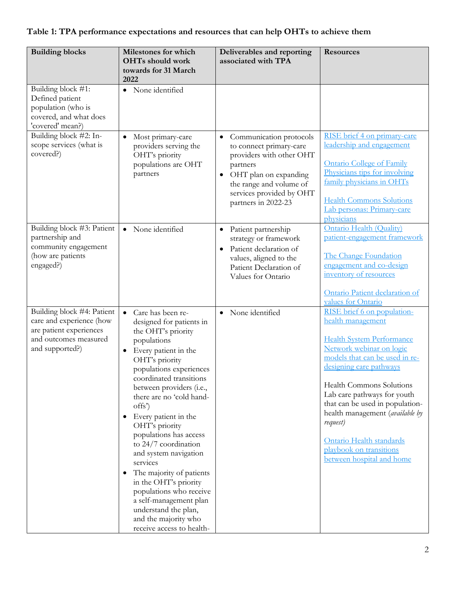## **Table 1: TPA performance expectations and resources that can help OHTs to achieve them**

| <b>Building blocks</b>                                                                                                        | Milestones for which                                                                                                                                                                                                                                                                                                                                                                                                                                                                                                                                                                                                | Deliverables and reporting                                                                                                                                                                                       | <b>Resources</b>                                                                                                                                                                                                                                                                                                                                                                                               |
|-------------------------------------------------------------------------------------------------------------------------------|---------------------------------------------------------------------------------------------------------------------------------------------------------------------------------------------------------------------------------------------------------------------------------------------------------------------------------------------------------------------------------------------------------------------------------------------------------------------------------------------------------------------------------------------------------------------------------------------------------------------|------------------------------------------------------------------------------------------------------------------------------------------------------------------------------------------------------------------|----------------------------------------------------------------------------------------------------------------------------------------------------------------------------------------------------------------------------------------------------------------------------------------------------------------------------------------------------------------------------------------------------------------|
|                                                                                                                               | OHTs should work<br>towards for 31 March<br>2022                                                                                                                                                                                                                                                                                                                                                                                                                                                                                                                                                                    | associated with TPA                                                                                                                                                                                              |                                                                                                                                                                                                                                                                                                                                                                                                                |
| Building block #1:<br>Defined patient<br>population (who is<br>covered, and what does<br>'covered' mean?)                     | • None identified                                                                                                                                                                                                                                                                                                                                                                                                                                                                                                                                                                                                   |                                                                                                                                                                                                                  |                                                                                                                                                                                                                                                                                                                                                                                                                |
| Building block #2: In-<br>scope services (what is<br>covered?)                                                                | Most primary-care<br>$\bullet$<br>providers serving the<br>OHT's priority<br>populations are OHT<br>partners                                                                                                                                                                                                                                                                                                                                                                                                                                                                                                        | • Communication protocols<br>to connect primary-care<br>providers with other OHT<br>partners<br>OHT plan on expanding<br>$\bullet$<br>the range and volume of<br>services provided by OHT<br>partners in 2022-23 | RISE brief 4 on primary-care<br>leadership and engagement<br><b>Ontario College of Family</b><br>Physicians tips for involving<br>family physicians in OHTs<br><b>Health Commons Solutions</b><br>Lab personas: Primary-care<br>physicians                                                                                                                                                                     |
| Building block #3: Patient<br>partnership and<br>community engagement<br>(how are patients<br>engaged?)                       | None identified<br>$\bullet$                                                                                                                                                                                                                                                                                                                                                                                                                                                                                                                                                                                        | Patient partnership<br>$\bullet$<br>strategy or framework<br>Patient declaration of<br>values, aligned to the<br>Patient Declaration of<br>Values for Ontario                                                    | Ontario Health (Quality)<br>patient-engagement framework<br>The Change Foundation<br>engagement and co-design<br>inventory of resources<br>Ontario Patient declaration of<br>values for Ontario                                                                                                                                                                                                                |
| Building block #4: Patient<br>care and experience (how<br>are patient experiences<br>and outcomes measured<br>and supported?) | $\bullet$<br>Care has been re-<br>designed for patients in<br>the OHT's priority<br>populations<br>Every patient in the<br>$\bullet$<br>OHT's priority<br>populations experiences<br>coordinated transitions<br>between providers (i.e.,<br>there are no 'cold hand-<br>offs')<br>Every patient in the<br>OHT's priority<br>populations has access<br>to 24/7 coordination<br>and system navigation<br>services<br>The majority of patients<br>$\bullet$<br>in the OHT's priority<br>populations who receive<br>a self-management plan<br>understand the plan,<br>and the majority who<br>receive access to health- | · None identified                                                                                                                                                                                                | RISE brief 6 on population-<br>health management<br><b>Health System Performance</b><br>Network webinar on logic<br>models that can be used in re-<br>designing care pathways<br>Health Commons Solutions<br>Lab care pathways for youth<br>that can be used in population-<br>health management (available by<br>request)<br>Ontario Health standards<br>playbook on transitions<br>between hospital and home |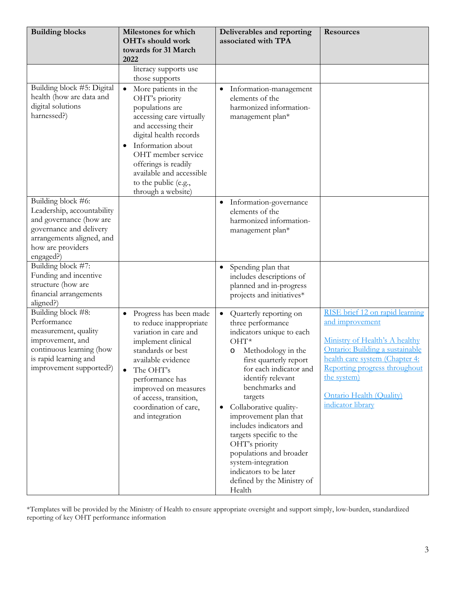| <b>Building blocks</b>                                                                                                                                                | Milestones for which<br>OHTs should work<br>towards for 31 March<br>2022                                                                                                                                                                                                                              | Deliverables and reporting<br>associated with TPA                                                                                                                                                                                                                                                                                                                                                                                                                                                 | <b>Resources</b>                                                                                                                                                                                                                                                  |
|-----------------------------------------------------------------------------------------------------------------------------------------------------------------------|-------------------------------------------------------------------------------------------------------------------------------------------------------------------------------------------------------------------------------------------------------------------------------------------------------|---------------------------------------------------------------------------------------------------------------------------------------------------------------------------------------------------------------------------------------------------------------------------------------------------------------------------------------------------------------------------------------------------------------------------------------------------------------------------------------------------|-------------------------------------------------------------------------------------------------------------------------------------------------------------------------------------------------------------------------------------------------------------------|
|                                                                                                                                                                       | literacy supports use<br>those supports                                                                                                                                                                                                                                                               |                                                                                                                                                                                                                                                                                                                                                                                                                                                                                                   |                                                                                                                                                                                                                                                                   |
| Building block #5: Digital<br>health (how are data and<br>digital solutions<br>harnessed?)                                                                            | More patients in the<br>$\bullet$<br>OHT's priority<br>populations are<br>accessing care virtually<br>and accessing their<br>digital health records<br>Information about<br>٠<br>OHT member service<br>offerings is readily<br>available and accessible<br>to the public (e.g.,<br>through a website) | Information-management<br>$\bullet$<br>elements of the<br>harmonized information-<br>management plan*                                                                                                                                                                                                                                                                                                                                                                                             |                                                                                                                                                                                                                                                                   |
| Building block #6:<br>Leadership, accountability<br>and governance (how are<br>governance and delivery<br>arrangements aligned, and<br>how are providers<br>engaged?) |                                                                                                                                                                                                                                                                                                       | Information-governance<br>$\bullet$<br>elements of the<br>harmonized information-<br>management plan*                                                                                                                                                                                                                                                                                                                                                                                             |                                                                                                                                                                                                                                                                   |
| Building block #7:<br>Funding and incentive<br>structure (how are<br>financial arrangements<br>aligned?)                                                              |                                                                                                                                                                                                                                                                                                       | Spending plan that<br>$\bullet$<br>includes descriptions of<br>planned and in-progress<br>projects and initiatives*                                                                                                                                                                                                                                                                                                                                                                               |                                                                                                                                                                                                                                                                   |
| Building block #8:<br>Performance<br>measurement, quality<br>improvement, and<br>continuous learning (how<br>is rapid learning and<br>improvement supported?)         | Progress has been made<br>$\bullet$<br>to reduce inappropriate<br>variation in care and<br>implement clinical<br>standards or best<br>available evidence<br>The OHT's<br>$\bullet$<br>performance has<br>improved on measures<br>of access, transition,<br>coordination of care,<br>and integration   | Quarterly reporting on<br>$\bullet$<br>three performance<br>indicators unique to each<br>$OHT*$<br>Methodology in the<br>$\circ$<br>first quarterly report<br>for each indicator and<br>identify relevant<br>benchmarks and<br>targets<br>Collaborative quality-<br>$\bullet$<br>improvement plan that<br>includes indicators and<br>targets specific to the<br>OHT's priority<br>populations and broader<br>system-integration<br>indicators to be later<br>defined by the Ministry of<br>Health | RISE brief 12 on rapid learning<br>and improvement<br>Ministry of Health's A healthy<br>Ontario: Building a sustainable<br>health care system (Chapter 4:<br>Reporting progress throughout<br>the system)<br><b>Ontario Health (Quality)</b><br>indicator library |

\*Templates will be provided by the Ministry of Health to ensure appropriate oversight and support simply, low-burden, standardized reporting of key OHT performance information